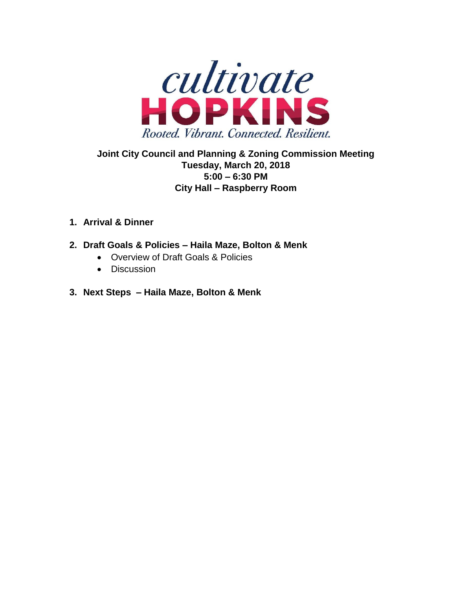

# **Joint City Council and Planning & Zoning Commission Meeting Tuesday, March 20, 2018 5:00 – 6:30 PM City Hall – Raspberry Room**

## **1. Arrival & Dinner**

- **2. Draft Goals & Policies – Haila Maze, Bolton & Menk**
	- Overview of Draft Goals & Policies
	- Discussion
- **3. Next Steps – Haila Maze, Bolton & Menk**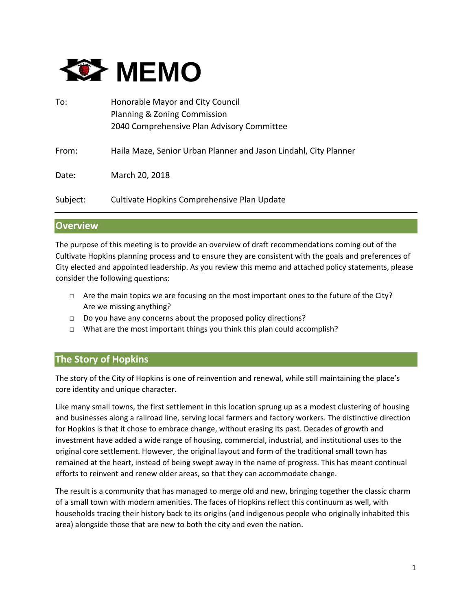

| To:      | Honorable Mayor and City Council<br>Planning & Zoning Commission<br>2040 Comprehensive Plan Advisory Committee |
|----------|----------------------------------------------------------------------------------------------------------------|
| From:    | Haila Maze, Senior Urban Planner and Jason Lindahl, City Planner                                               |
| Date:    | March 20, 2018                                                                                                 |
| Subject: | Cultivate Hopkins Comprehensive Plan Update                                                                    |

#### **Overview**

The purpose of this meeting is to provide an overview of draft recommendations coming out of the Cultivate Hopkins planning process and to ensure they are consistent with the goals and preferences of City elected and appointed leadership. As you review this memo and attached policy statements, please consider the following questions:

- $\Box$  Are the main topics we are focusing on the most important ones to the future of the City? Are we missing anything?
- □ Do you have any concerns about the proposed policy directions?
- □ What are the most important things you think this plan could accomplish?

## **The Story of Hopkins**

The story of the City of Hopkins is one of reinvention and renewal, while still maintaining the place's core identity and unique character.

Like many small towns, the first settlement in this location sprung up as a modest clustering of housing and businesses along a railroad line, serving local farmers and factory workers. The distinctive direction for Hopkins is that it chose to embrace change, without erasing its past. Decades of growth and investment have added a wide range of housing, commercial, industrial, and institutional uses to the original core settlement. However, the original layout and form of the traditional small town has remained at the heart, instead of being swept away in the name of progress. This has meant continual efforts to reinvent and renew older areas, so that they can accommodate change.

The result is a community that has managed to merge old and new, bringing together the classic charm of a small town with modern amenities. The faces of Hopkins reflect this continuum as well, with households tracing their history back to its origins (and indigenous people who originally inhabited this area) alongside those that are new to both the city and even the nation.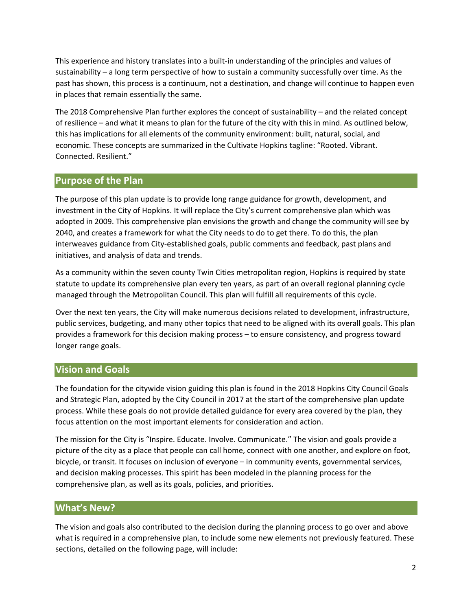This experience and history translates into a built‐in understanding of the principles and values of sustainability – a long term perspective of how to sustain a community successfully over time. As the past has shown, this process is a continuum, not a destination, and change will continue to happen even in places that remain essentially the same.

The 2018 Comprehensive Plan further explores the concept of sustainability – and the related concept of resilience – and what it means to plan for the future of the city with this in mind. As outlined below, this has implications for all elements of the community environment: built, natural, social, and economic. These concepts are summarized in the Cultivate Hopkins tagline: "Rooted. Vibrant. Connected. Resilient."

### **Purpose of the Plan**

The purpose of this plan update is to provide long range guidance for growth, development, and investment in the City of Hopkins. It will replace the City's current comprehensive plan which was adopted in 2009. This comprehensive plan envisions the growth and change the community will see by 2040, and creates a framework for what the City needs to do to get there. To do this, the plan interweaves guidance from City‐established goals, public comments and feedback, past plans and initiatives, and analysis of data and trends.

As a community within the seven county Twin Cities metropolitan region, Hopkins is required by state statute to update its comprehensive plan every ten years, as part of an overall regional planning cycle managed through the Metropolitan Council. This plan will fulfill all requirements of this cycle.

Over the next ten years, the City will make numerous decisions related to development, infrastructure, public services, budgeting, and many other topics that need to be aligned with its overall goals. This plan provides a framework for this decision making process – to ensure consistency, and progress toward longer range goals.

### **Vision and Goals**

The foundation for the citywide vision guiding this plan is found in the 2018 Hopkins City Council Goals and Strategic Plan, adopted by the City Council in 2017 at the start of the comprehensive plan update process. While these goals do not provide detailed guidance for every area covered by the plan, they focus attention on the most important elements for consideration and action.

The mission for the City is "Inspire. Educate. Involve. Communicate." The vision and goals provide a picture of the city as a place that people can call home, connect with one another, and explore on foot, bicycle, or transit. It focuses on inclusion of everyone – in community events, governmental services, and decision making processes. This spirit has been modeled in the planning process for the comprehensive plan, as well as its goals, policies, and priorities.

## **What's New?**

The vision and goals also contributed to the decision during the planning process to go over and above what is required in a comprehensive plan, to include some new elements not previously featured. These sections, detailed on the following page, will include: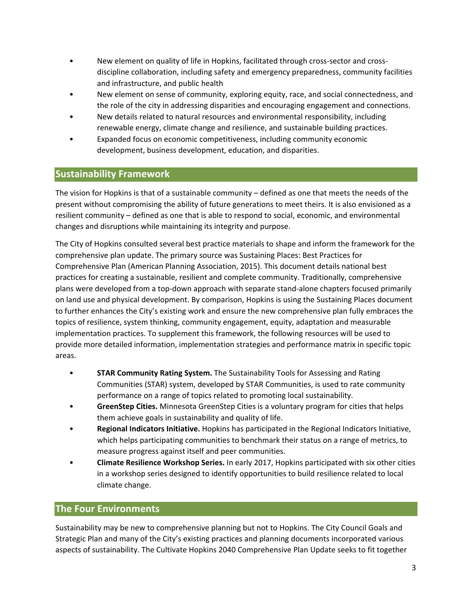- New element on quality of life in Hopkins, facilitated through cross‐sector and cross‐ discipline collaboration, including safety and emergency preparedness, community facilities and infrastructure, and public health
- New element on sense of community, exploring equity, race, and social connectedness, and the role of the city in addressing disparities and encouraging engagement and connections.
- New details related to natural resources and environmental responsibility, including renewable energy, climate change and resilience, and sustainable building practices.
- Expanded focus on economic competitiveness, including community economic development, business development, education, and disparities.

# **Sustainability Framework**

The vision for Hopkins is that of a sustainable community – defined as one that meets the needs of the present without compromising the ability of future generations to meet theirs. It is also envisioned as a resilient community – defined as one that is able to respond to social, economic, and environmental changes and disruptions while maintaining its integrity and purpose.

The City of Hopkins consulted several best practice materials to shape and inform the framework for the comprehensive plan update. The primary source was Sustaining Places: Best Practices for Comprehensive Plan (American Planning Association, 2015). This document details national best practices for creating a sustainable, resilient and complete community. Traditionally, comprehensive plans were developed from a top‐down approach with separate stand‐alone chapters focused primarily on land use and physical development. By comparison, Hopkins is using the Sustaining Places document to further enhances the City's existing work and ensure the new comprehensive plan fully embraces the topics of resilience, system thinking, community engagement, equity, adaptation and measurable implementation practices. To supplement this framework, the following resources will be used to provide more detailed information, implementation strategies and performance matrix in specific topic areas.

- **STAR Community Rating System.** The Sustainability Tools for Assessing and Rating Communities (STAR) system, developed by STAR Communities, is used to rate community performance on a range of topics related to promoting local sustainability.
- **GreenStep Cities.** Minnesota GreenStep Cities is a voluntary program for cities that helps them achieve goals in sustainability and quality of life.
- **Regional Indicators Initiative.** Hopkins has participated in the Regional Indicators Initiative, which helps participating communities to benchmark their status on a range of metrics, to measure progress against itself and peer communities.
- **Climate Resilience Workshop Series.** In early 2017, Hopkins participated with six other cities in a workshop series designed to identify opportunities to build resilience related to local climate change.

## **The Four Environments**

Sustainability may be new to comprehensive planning but not to Hopkins. The City Council Goals and Strategic Plan and many of the City's existing practices and planning documents incorporated various aspects of sustainability. The Cultivate Hopkins 2040 Comprehensive Plan Update seeks to fit together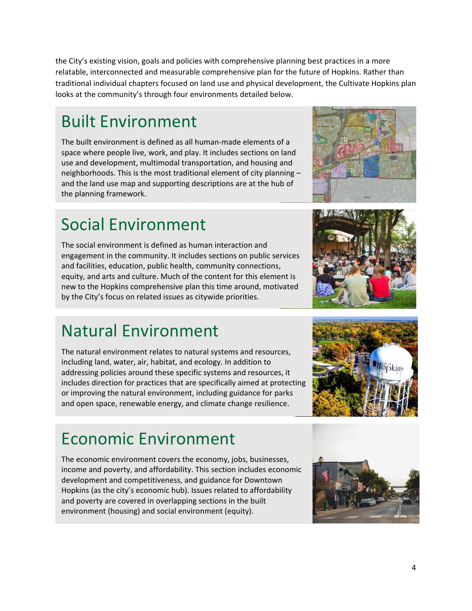the City's existing vision, goals and policies with comprehensive planning best practices in a more relatable, interconnected and measurable comprehensive plan for the future of Hopkins. Rather than traditional individual chapters focused on land use and physical development, the Cultivate Hopkins plan looks at the community's through four environments detailed below.

# Built Environment

The built environment is defined as all human‐made elements of a space where people live, work, and play. It includes sections on land use and development, multimodal transportation, and housing and neighborhoods. This is the most traditional element of city planning – and the land use map and supporting descriptions are at the hub of the planning framework.

# Social Environment

The social environment is defined as human interaction and engagement in the community. It includes sections on public services and facilities, education, public health, community connections, equity, and arts and culture. Much of the content for this element is new to the Hopkins comprehensive plan this time around, motivated by the City's focus on related issues as citywide priorities.

# Natural Environment

The natural environment relates to natural systems and resources, including land, water, air, habitat, and ecology. In addition to addressing policies around these specific systems and resources, it includes direction for practices that are specifically aimed at protecting or improving the natural environment, including guidance for parks and open space, renewable energy, and climate change resilience.

# Economic Environment

The economic environment covers the economy, jobs, businesses, income and poverty, and affordability. This section includes economic development and competitiveness, and guidance for Downtown Hopkins (as the city's economic hub). Issues related to affordability and poverty are covered in overlapping sections in the built environment (housing) and social environment (equity).







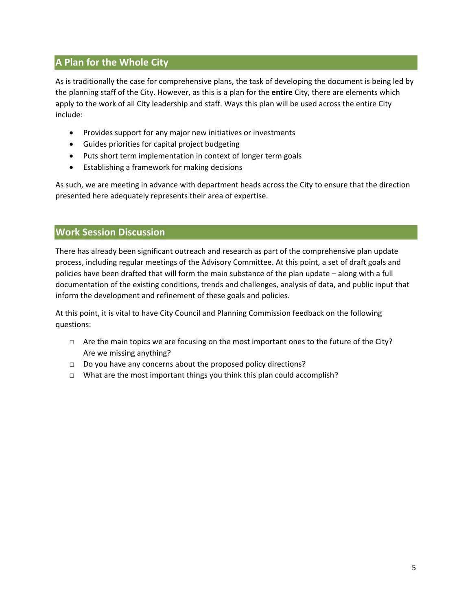# **A Plan for the Whole City**

As is traditionally the case for comprehensive plans, the task of developing the document is being led by the planning staff of the City. However, as this is a plan for the **entire** City, there are elements which apply to the work of all City leadership and staff. Ways this plan will be used across the entire City include:

- Provides support for any major new initiatives or investments
- Guides priorities for capital project budgeting
- Puts short term implementation in context of longer term goals
- Establishing a framework for making decisions

As such, we are meeting in advance with department heads across the City to ensure that the direction presented here adequately represents their area of expertise.

#### **Work Session Discussion**

There has already been significant outreach and research as part of the comprehensive plan update process, including regular meetings of the Advisory Committee. At this point, a set of draft goals and policies have been drafted that will form the main substance of the plan update – along with a full documentation of the existing conditions, trends and challenges, analysis of data, and public input that inform the development and refinement of these goals and policies.

At this point, it is vital to have City Council and Planning Commission feedback on the following questions:

- $\Box$  Are the main topics we are focusing on the most important ones to the future of the City? Are we missing anything?
- □ Do you have any concerns about the proposed policy directions?
- □ What are the most important things you think this plan could accomplish?